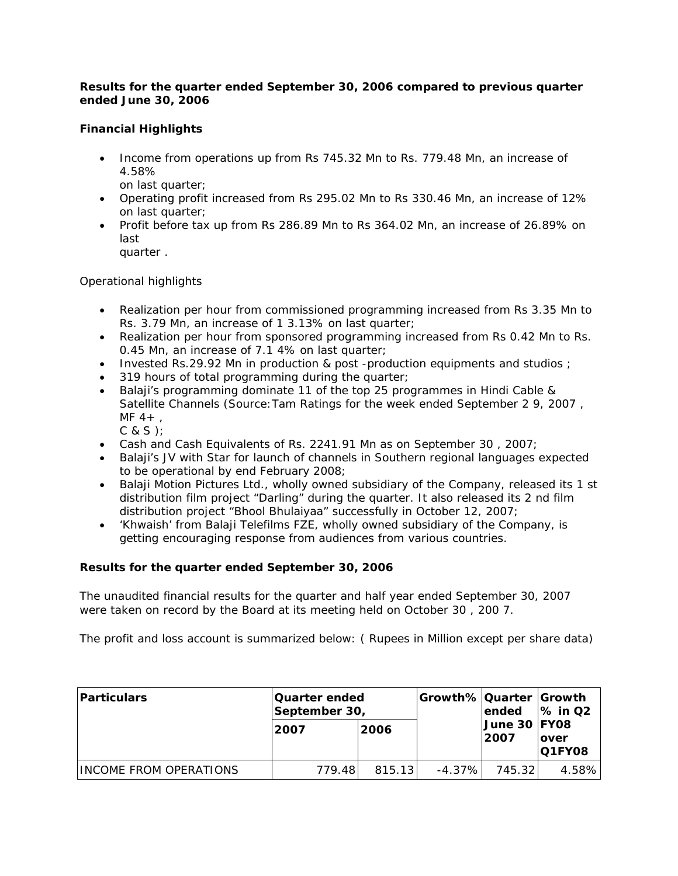# *Results for the quarter ended September 30, 2006 compared to previous quarter ended June 30, 2006*

# **Financial Highlights**

• Income from operations up from Rs 745.32 Mn to Rs. 779.48 Mn, an increase of 4.58%

on last quarter;

- Operating profit increased from Rs 295.02 Mn to Rs 330.46 Mn, an increase of 12% on last quarter;
- Profit before tax up from Rs 286.89 Mn to Rs 364.02 Mn, an increase of 26.89% on last

quarter .

Operational highlights

- Realization per hour from commissioned programming increased from Rs 3.35 Mn to Rs. 3.79 Mn, an increase of 1 3.13% on last quarter;
- Realization per hour from sponsored programming increased from Rs 0.42 Mn to Rs. 0.45 Mn, an increase of 7.1 4% on last quarter;
- Invested Rs.29.92 Mn in production & post -production equipments and studios ;
- 319 hours of total programming during the quarter;
- Balaji's programming dominate 11 of the top 25 programmes in Hindi Cable & Satellite Channels (Source: Tam Ratings for the week ended September 2 9, 2007,  $MF 4+.$ 
	- C & S );
- Cash and Cash Equivalents of Rs. 2241.91 Mn as on September 30 , 2007;
- Balaji's JV with Star for launch of channels in Southern regional languages expected to be operational by end February 2008;
- Balaji Motion Pictures Ltd., wholly owned subsidiary of the Company, released its 1 st distribution film project "Darling" during the quarter. It also released its 2 nd film distribution project "Bhool Bhulaiyaa" successfully in October 12, 2007;
- 'Khwaish' from Balaji Telefilms FZE, wholly owned subsidiary of the Company, is getting encouraging response from audiences from various countries.

# **Results for the quarter ended September 30, 2006**

The unaudited financial results for the quarter and half year ended September 30, 2007 were taken on record by the Board at its meeting held on October 30 , 200 7.

The profit and loss account is summarized below: ( Rupees in Million except per share data)

| <b>Particulars</b>     | <b>Quarter ended</b><br>September 30, |        | Growth% Quarter  Growth | lended 1% in Q2              |                        |
|------------------------|---------------------------------------|--------|-------------------------|------------------------------|------------------------|
|                        | 2007                                  | 2006   |                         | <b>June 30 FY08</b><br> 2007 | lover<br><b>Q1FY08</b> |
| INCOME FROM OPERATIONS | 779.48                                | 815.13 | $-4.37\%$               | 745.321                      | 4.58%                  |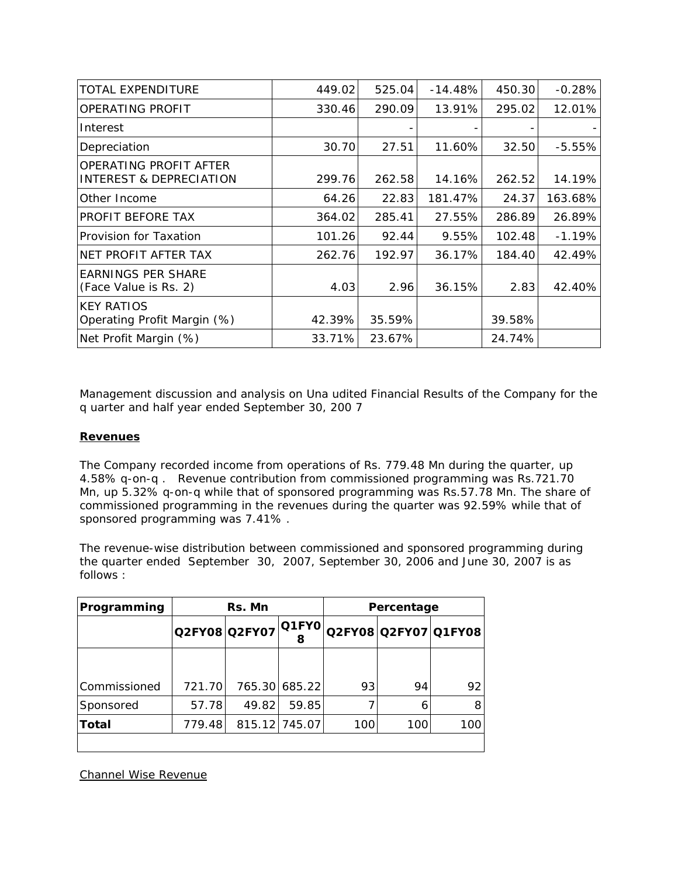| <b>TOTAL EXPENDITURE</b>                                     | 449.02 | 525.04 | $-14.48%$ | 450.30 | $-0.28%$ |
|--------------------------------------------------------------|--------|--------|-----------|--------|----------|
| OPERATING PROFIT                                             | 330.46 | 290.09 | 13.91%    | 295.02 | 12.01%   |
| Interest                                                     |        |        |           |        |          |
| Depreciation                                                 | 30.70  | 27.51  | 11.60%    | 32.50  | $-5.55%$ |
| OPERATING PROFIT AFTER<br><b>INTEREST &amp; DEPRECIATION</b> | 299.76 | 262.58 | 14.16%    | 262.52 | 14.19%   |
| Other Income                                                 | 64.26  | 22.83  | 181.47%   | 24.37  | 163.68%  |
| PROFIT BEFORE TAX                                            | 364.02 | 285.41 | 27.55%    | 286.89 | 26.89%   |
| Provision for Taxation                                       | 101.26 | 92.44  | 9.55%     | 102.48 | $-1.19%$ |
| NET PROFIT AFTER TAX                                         | 262.76 | 192.97 | 36.17%    | 184.40 | 42.49%   |
| <b>EARNINGS PER SHARE</b><br>(Face Value is Rs. 2)           | 4.03   | 2.96   | 36.15%    | 2.83   | 42.40%   |
| <b>KEY RATIOS</b><br>Operating Profit Margin (%)             | 42.39% | 35.59% |           | 39.58% |          |
| Net Profit Margin (%)                                        | 33.71% | 23.67% |           | 24.74% |          |

*Management discussion and analysis on Una udited Financial Results of the Company for the q uarter and half year ended September 30, 200 7*

## **Revenues**

The Company recorded income from operations of Rs. 779.48 Mn during the quarter, up 4.58% q-on-q . Revenue contribution from commissioned programming was Rs.721.70 Mn, up 5.32% q-on-q while that of sponsored programming was Rs.57.78 Mn. The share of commissioned programming in the revenues during the quarter was 92.59% while that of sponsored programming was 7.41% .

The revenue-wise distribution between commissioned and sponsored programming during the quarter ended September 30, 2007, September 30, 2006 and June 30, 2007 is as follows :

| Programming  | Rs. Mn |               |                |     | Percentage           |     |
|--------------|--------|---------------|----------------|-----|----------------------|-----|
|              |        | Q2FY08 Q2FY07 | $ O1$ FYO<br>8 |     | Q2FY08 Q2FY07 Q1FY08 |     |
|              |        |               |                |     |                      |     |
| Commissioned | 721.70 |               | 765.30 685.22  | 93  | 94                   | 92  |
| Sponsored    | 57.78  | 49.82         | 59.85          |     |                      |     |
| Total        | 779.48 |               | 815.12 745.07  | 100 | 100                  | 100 |
|              |        |               |                |     |                      |     |

Channel Wise Revenue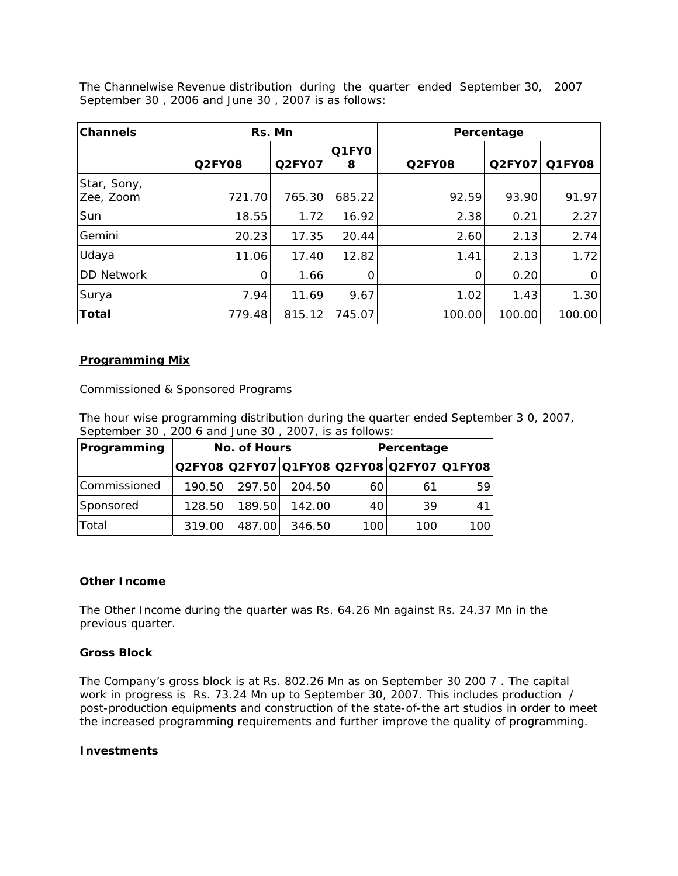The Channelwise Revenue distribution during the quarter ended September 30, 2007 September 30 , 2006 and June 30 , 2007 is as follows:

| <b>Channels</b>          | Rs. Mn        |               |            |               | Percentage    |        |
|--------------------------|---------------|---------------|------------|---------------|---------------|--------|
|                          | <b>Q2FY08</b> | <b>Q2FY07</b> | Q1FY0<br>8 | <b>Q2FY08</b> | <b>Q2FY07</b> | Q1FY08 |
| Star, Sony,<br>Zee, Zoom | 721.70        | 765.30        | 685.22     | 92.59         | 93.90         | 91.97  |
| Sun                      | 18.55         | 1.72          | 16.92      | 2.38          | 0.21          | 2.27   |
| Gemini                   | 20.23         | 17.35         | 20.44      | 2.60          | 2.13          | 2.74   |
| Udaya                    | 11.06         | 17.40         | 12.82      | 1.41          | 2.13          | 1.72   |
| <b>DD Network</b>        | 0             | 1.66          | 0          | 0             | 0.20          | 0      |
| Surya                    | 7.94          | 11.69         | 9.67       | 1.02          | 1.43          | 1.30   |
| <b>Total</b>             | 779.48        | 815.12        | 745.07     | 100.00        | 100.00        | 100.00 |

### *Programming Mix*

### Commissioned & Sponsored Programs

The hour wise programming distribution during the quarter ended September 3 0, 2007, September 30 , 200 6 and June 30 , 2007, is as follows:

| Programming  | No. of Hours |        |        | Percentage |     |                                           |
|--------------|--------------|--------|--------|------------|-----|-------------------------------------------|
|              |              |        |        |            |     | Q2FY08 Q2FY07 Q1FY08 Q2FY08 Q2FY07 Q1FY08 |
| Commissioned | 190.50       | 297.50 | 204.50 | 60         | 61  | 591                                       |
| Sponsored    | 128.50       | 189.50 | 142.00 | 40         | 39  |                                           |
| Total        | 319.00       | 487.00 | 346.50 | 100        | 100 | 100 l                                     |

#### **Other Income**

The Other Income during the quarter was Rs. 64.26 Mn against Rs. 24.37 Mn in the previous quarter.

#### **Gross Block**

The Company's gross block is at Rs. 802.26 Mn as on September 30 200 7 . The capital work in progress is Rs. 73.24 Mn up to September 30, 2007. This includes production / post-production equipments and construction of the state-of-the art studios in order to meet the increased programming requirements and further improve the quality of programming.

#### **Investments**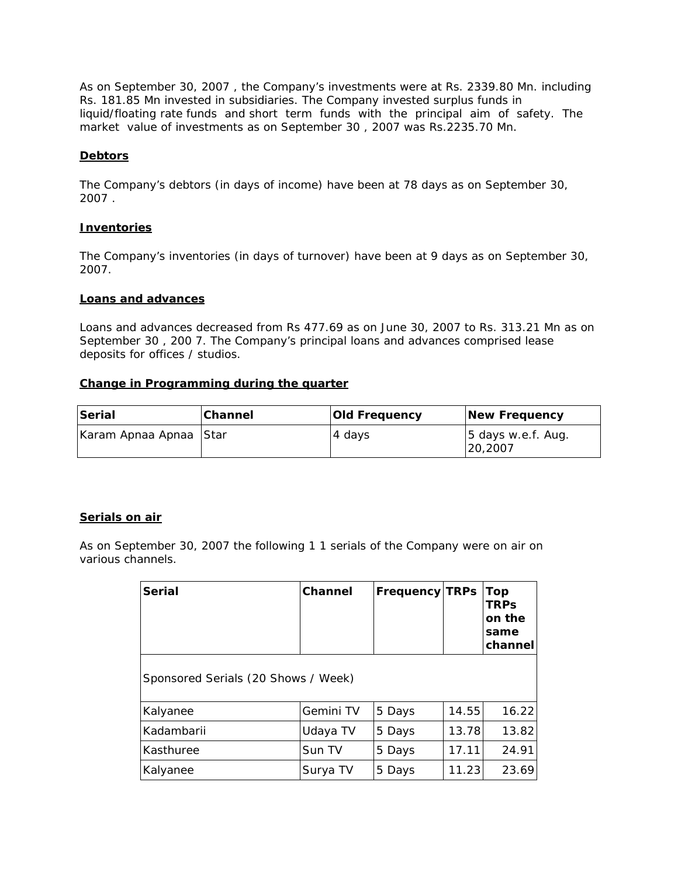As on September 30, 2007 , the Company's investments were at Rs. 2339.80 Mn. including Rs. 181.85 Mn invested in subsidiaries. The Company invested surplus funds in liquid/floating rate funds and short term funds with the principal aim of safety. The market value of investments as on September 30 , 2007 was Rs.2235.70 Mn.

## **Debtors**

The Company's debtors (in days of income) have been at 78 days as on September 30, 2007 .

### **Inventories**

The Company's inventories (in days of turnover) have been at 9 days as on September 30, 2007.

# **Loans and advances**

Loans and advances decreased from Rs 477.69 as on June 30, 2007 to Rs. 313.21 Mn as on September 30 , 200 7. The Company's principal loans and advances comprised lease deposits for offices / studios.

### **Change in Programming during the quarter**

| Serial                 | <b>Channel</b> | <b>Old Frequency</b> | New Frequency                  |
|------------------------|----------------|----------------------|--------------------------------|
| Karam Apnaa Apnaa Star |                | 4 days               | 5 days w.e.f. Aug.<br>120.2007 |

#### **Serials on air**

*As on September 30, 2007 the following 1 1 serials of the Company were on air on various channels.*

| <b>Serial</b>                       | Channel   | <b>Frequency TRPs</b> |       | Top<br><b>TRPs</b><br>on the<br>same<br>channel |
|-------------------------------------|-----------|-----------------------|-------|-------------------------------------------------|
| Sponsored Serials (20 Shows / Week) |           |                       |       |                                                 |
| Kalyanee                            | Gemini TV | 5 Days                | 14.55 | 16.22                                           |
| Kadambarii                          | Udaya TV  | 5 Days                | 13.78 | 13.82                                           |
| Kasthuree                           | Sun TV    | 5 Days                | 17.11 | 24.91                                           |
| Kalyanee                            | Surya TV  | 5 Days                | 11.23 | 23.69                                           |